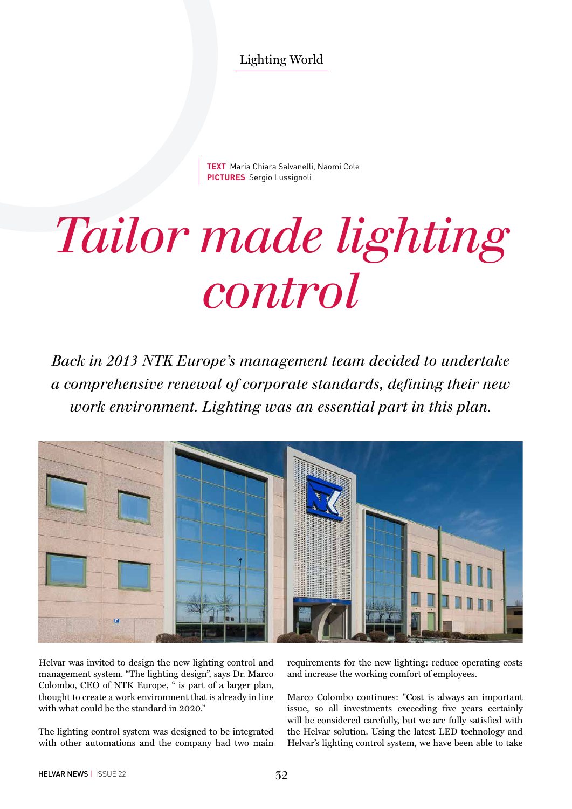Lighting World

**TEXT** Maria Chiara Salvanelli, Naomi Cole **PICTURES** Sergio Lussignoli

## *Tailor made lighting control*

*Back in 2013 NTK Europe's management team decided to undertake a comprehensive renewal of corporate standards, defining their new work environment. Lighting was an essential part in this plan.* 



Helvar was invited to design the new lighting control and management system. "The lighting design", says Dr. Marco Colombo, CEO of NTK Europe, " is part of a larger plan, thought to create a work environment that is already in line with what could be the standard in 2020."

The lighting control system was designed to be integrated with other automations and the company had two main requirements for the new lighting: reduce operating costs and increase the working comfort of employees.

Marco Colombo continues: "Cost is always an important issue, so all investments exceeding five years certainly will be considered carefully, but we are fully satisfied with the Helvar solution. Using the latest LED technology and Helvar's lighting control system, we have been able to take